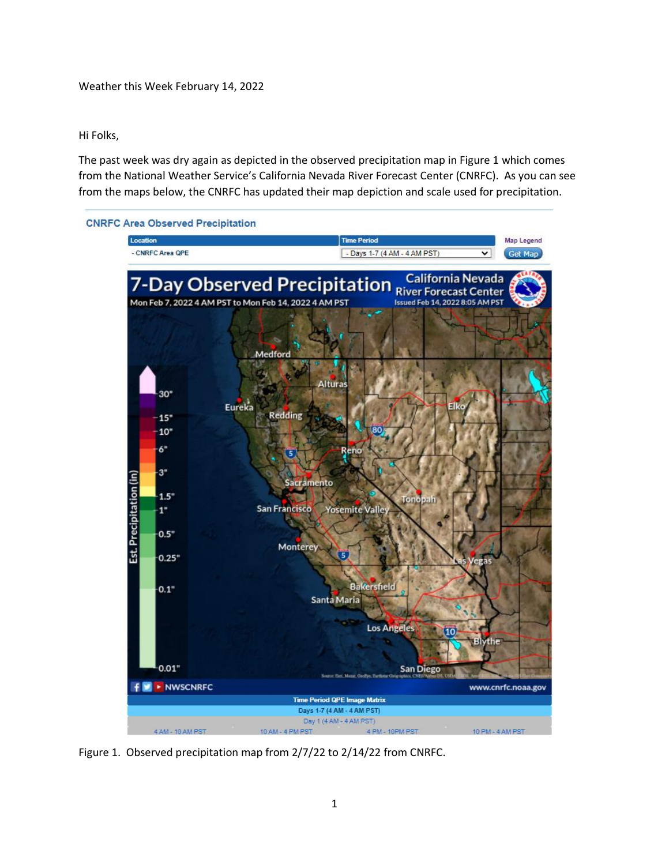## Hi Folks,

The past week was dry again as depicted in the observed precipitation map in Figure 1 which comes from the National Weather Service's California Nevada River Forecast Center (CNRFC). As you can see from the maps below, the CNRFC has updated their map depiction and scale used for precipitation.



Figure 1. Observed precipitation map from 2/7/22 to 2/14/22 from CNRFC.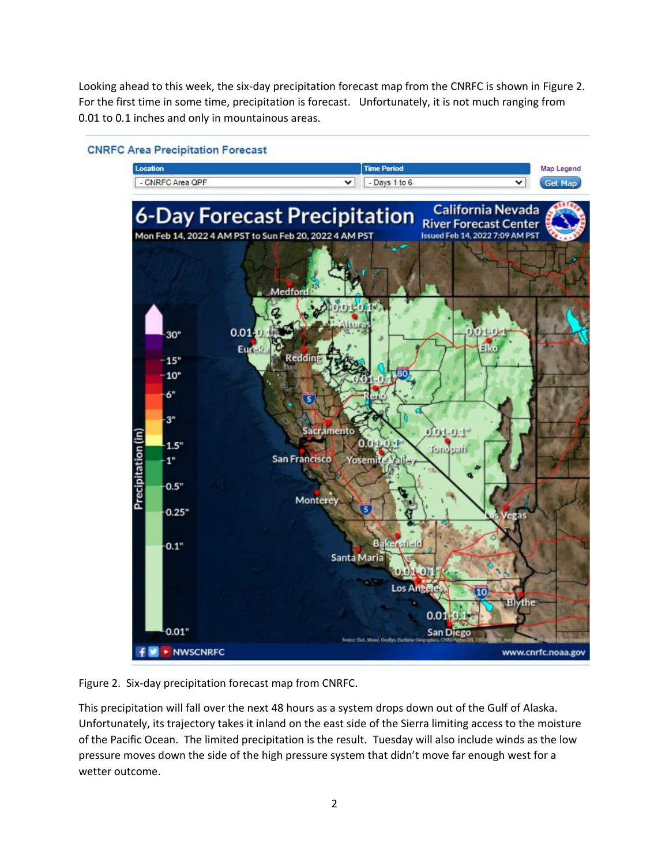Looking ahead to this week, the six-day precipitation forecast map from the CNRFC is shown in Figure 2. For the first time in some time, precipitation is forecast. Unfortunately, it is not much ranging from 0.01 to 0.1 inches and only in mountainous areas.



## **CNRFC Area Precipitation Forecast**

Figure 2. Six-day precipitation forecast map from CNRFC.

This precipitation will fall over the next 48 hours as a system drops down out of the Gulf of Alaska. Unfortunately, its trajectory takes it inland on the east side of the Sierra limiting access to the moisture of the Pacific Ocean. The limited precipitation is the result. Tuesday will also include winds as the low pressure moves down the side of the high pressure system that didn't move far enough west for a wetter outcome.